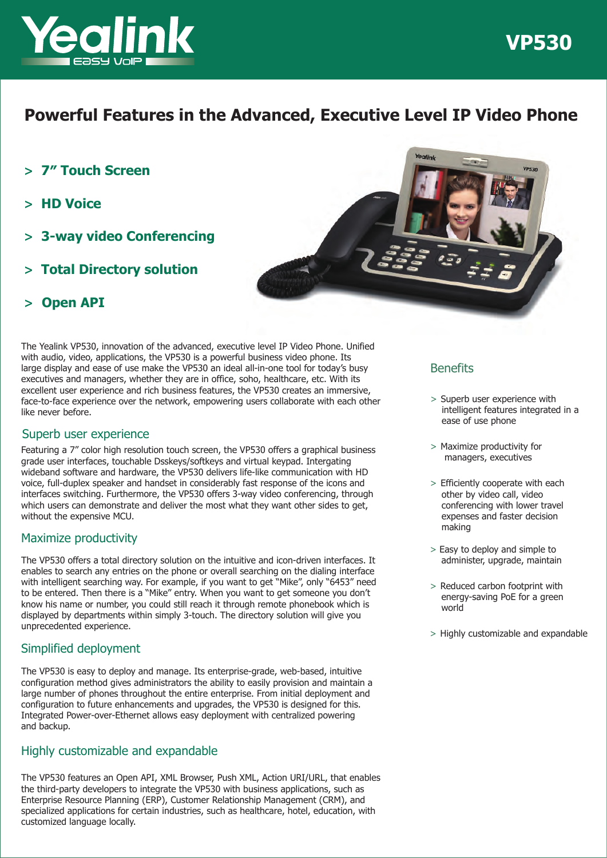

## **Powerful Features in the Advanced, Executive Level IP Video Phone**

- **> 7″ Touch Screen**
- **> HD Voice**
- **> 3-way video Conferencing**
- **> Total Directory solution**



## **> Open API**

The Yealink VP530, innovation of the advanced, executive level IP Video Phone. Unified with audio, video, applications, the VP530 is a powerful business video phone. Its large display and ease of use make the VP530 an ideal all-in-one tool for today's busy executives and managers, whether they are in office, soho, healthcare, etc. With its excellent user experience and rich business features, the VP530 creates an immersive, face-to-face experience over the network, empowering users collaborate with each other like never before.

## Superb user experience

Featuring a 7" color high resolution touch screen, the VP530 offers a graphical business grade user interfaces, touchable Dsskeys/softkeys and virtual keypad. Intergating wideband software and hardware, the VP530 delivers life-like communication with HD voice, full-duplex speaker and handset in considerably fast response of the icons and interfaces switching. Furthermore, the VP530 offers 3-way video conferencing, through which users can demonstrate and deliver the most what they want other sides to get, without the expensive MCU.

## Maximize productivity

The VP530 offers a total directory solution on the intuitive and icon-driven interfaces. It enables to search any entries on the phone or overall searching on the dialing interface with intelligent searching way. For example, if you want to get "Mike", only "6453" need to be entered. Then there is a "Mike" entry. When you want to get someone you don't know his name or number, you could still reach it through remote phonebook which is displayed by departments within simply 3-touch. The directory solution will give you unprecedented experience.

## Simplified deployment

The VP530 is easy to deploy and manage. Its enterprise-grade, web-based, intuitive configuration method gives administrators the ability to easily provision and maintain a large number of phones throughout the entire enterprise. From initial deployment and configuration to future enhancements and upgrades, the VP530 is designed for this. Integrated Power-over-Ethernet allows easy deployment with centralized powering and backup.

### Highly customizable and expandable

The VP530 features an Open API, XML Browser, Push XML, Action URI/URL, that enables the third-party developers to integrate the VP530 with business applications, such as Enterprise Resource Planning (ERP), Customer Relationship Management (CRM), and specialized applications for certain industries, such as healthcare, hotel, education, with customized language locally.

## **Benefits**

> Superb user experience with intelligent features integrated in a ease of use phone

**VP530** 

- > Maximize productivity for managers, executives
- > Efficiently cooperate with each other by video call, video conferencing with lower travel expenses and faster decision making
- > Easy to deploy and simple to administer, upgrade, maintain
- > Reduced carbon footprint with energy-saving PoE for a green world
- > Highly customizable and expandable